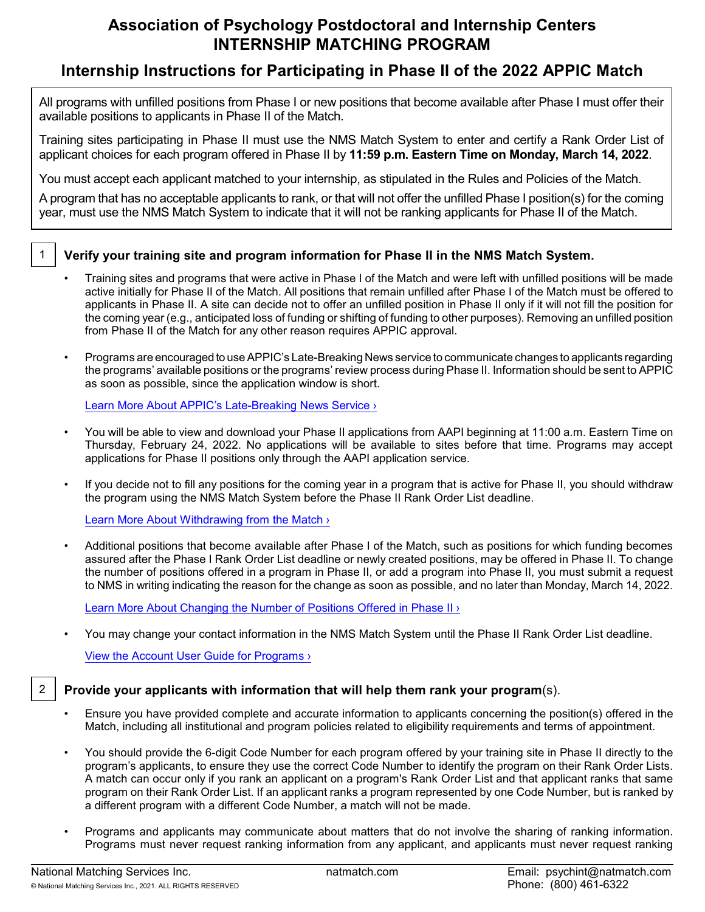# **Association of Psychology Postdoctoral and Internship Centers INTERNSHIP MATCHING PROGRAM**

# **Internship Instructions for Participating in Phase II of the 2022 APPIC Match**

All programs with unfilled positions from Phase I or new positions that become available after Phase I must offer their available positions to applicants in Phase II of the Match.

Training sites participating in Phase II must use the NMS Match System to enter and certify a Rank Order List of applicant choices for each program offered in Phase II by **11:59 p.m. Eastern Time on Monday, March 14, 2022**.

You must accept each applicant matched to your internship, as stipulated in the Rules and Policies of the Match.

A program that has no acceptable applicants to rank, or that will not offer the unfilled Phase I position(s) for the coming year, must use the NMS Match System to indicate that it will not be ranking applicants for Phase II of the Match.

# 1 **Verify your training site and program information for Phase II in the NMS Match System.**

- Training sites and programs that were active in Phase I of the Match and were left with unfilled positions will be made active initially for Phase II of the Match. All positions that remain unfilled after Phase I of the Match must be offered to applicants in Phase II. A site can decide not to offer an unfilled position in Phase II only if it will not fill the position for the coming year (e.g., anticipated loss of funding or shifting of funding to other purposes). Removing an unfilled position from Phase II of the Match for any other reason requires APPIC approval.
- Programs are encouraged to use APPIC's Late-Breaking News service to communicate changes to applicants regarding the programs' available positions or the programs' review process during Phase II. Information should be sent to APPIC as soon as possible, since the application window is short.

[Learn More About APPIC's Late-Breaking News Service ›](https://www.appic.org/Match/FAQs/Training-Directors/Phase-II#q6)

- You will be able to view and download your Phase II applications from AAPI beginning at 11:00 a.m. Eastern Time on Thursday, February 24, 2022. No applications will be available to sites before that time. Programs may accept applications for Phase II positions only through the AAPI application service.
- If you decide not to fill any positions for the coming year in a program that is active for Phase II, you should withdraw the program using the NMS Match System before the Phase II Rank Order List deadline.

[Learn More About Withdrawing from the Match ›](https://natmatch.com/psychint/programs/withdraw.html)

• Additional positions that become available after Phase I of the Match, such as positions for which funding becomes assured after the Phase I Rank Order List deadline or newly created positions, may be offered in Phase II. To change the number of positions offered in a program in Phase II, or add a program into Phase II, you must submit a request to NMS in writing indicating the reason for the change as soon as possible, and no later than Monday, March 14, 2022.

[Learn More About Changing the Number of](https://natmatch.com/psychint/programs/account-guide.html#positions) Positions Offered in Phase II ›

• You may change your contact information in the NMS Match System until the Phase II Rank Order List deadline.

[View the Account User Guide for Programs ›](https://natmatch.com/psychint/programs/account-guide.html)

## 2 **Provide your applicants with information that will help them rank your program**(s).

- Ensure you have provided complete and accurate information to applicants concerning the position(s) offered in the Match, including all institutional and program policies related to eligibility requirements and terms of appointment.
- You should provide the 6-digit Code Number for each program offered by your training site in Phase II directly to the program's applicants, to ensure they use the correct Code Number to identify the program on their Rank Order Lists. A match can occur only if you rank an applicant on a program's Rank Order List and that applicant ranks that same program on their Rank Order List. If an applicant ranks a program represented by one Code Number, but is ranked by a different program with a different Code Number, a match will not be made.
- Programs and applicants may communicate about matters that do not involve the sharing of ranking information. Programs must never request ranking information from any applicant, and applicants must never request ranking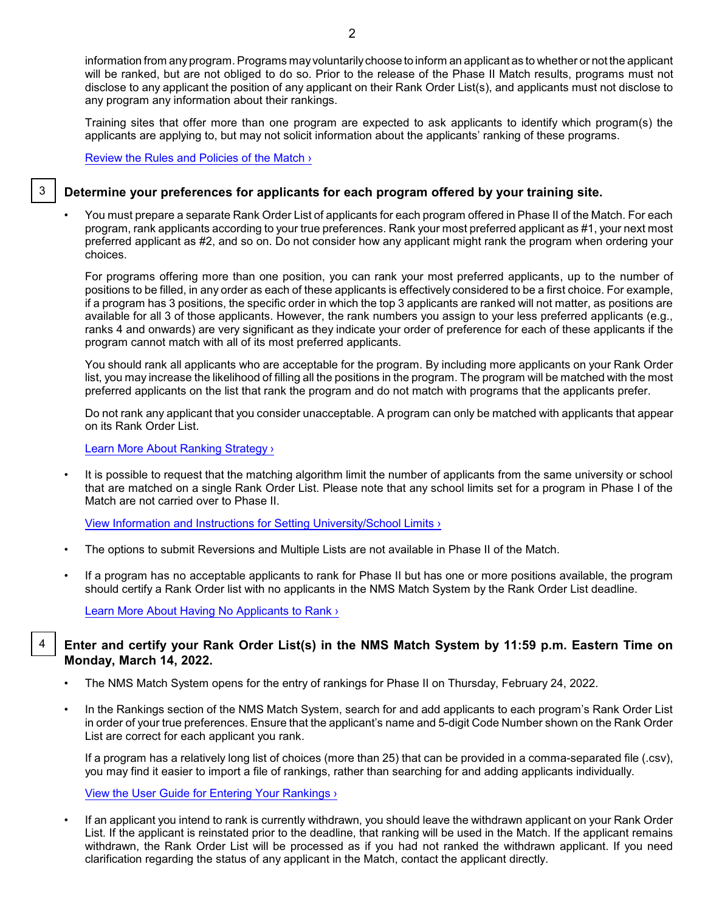information from anyprogram. Programs mayvoluntarilychoose to inform an applicant as to whether or not the applicant will be ranked, but are not obliged to do so. Prior to the release of the Phase II Match results, programs must not disclose to any applicant the position of any applicant on their Rank Order List(s), and applicants must not disclose to any program any information about their rankings.

Training sites that offer more than one program are expected to ask applicants to identify which program(s) the applicants are applying to, but may not solicit information about the applicants' ranking of these programs.

[Review the Rules and Policies of the Match ›](https://natmatch.com/psychint/rules.html)

# 3 **Determine your preferences for applicants for each program offered by your training site.**

• You must prepare a separate Rank Order List of applicants for each program offered in Phase II of the Match. For each program, rank applicants according to your true preferences. Rank your most preferred applicant as #1, your next most preferred applicant as #2, and so on. Do not consider how any applicant might rank the program when ordering your choices.

For programs offering more than one position, you can rank your most preferred applicants, up to the number of positions to be filled, in any order as each of these applicants is effectively considered to be a first choice. For example, if a program has 3 positions, the specific order in which the top 3 applicants are ranked will not matter, as positions are available for all 3 of those applicants. However, the rank numbers you assign to your less preferred applicants (e.g., ranks 4 and onwards) are very significant as they indicate your order of preference for each of these applicants if the program cannot match with all of its most preferred applicants.

You should rank all applicants who are acceptable for the program. By including more applicants on your Rank Order list, you may increase the likelihood of filling all the positions in the program. The program will be matched with the most preferred applicants on the list that rank the program and do not match with programs that the applicants prefer.

Do not rank any applicant that you consider unacceptable. A program can only be matched with applicants that appear on its Rank Order List.

[Learn More About Ranking Strategy ›](https://natmatch.com/psychint/programs/strategy.html)

It is possible to request that the matching algorithm limit the number of applicants from the same university or school that are matched on a single Rank Order List. Please note that any school limits set for a program in Phase I of the Match are not carried over to Phase II.

[View Information and Instructions for Setting University/School](https://natmatch.com/psychint/programs/limits.html) Limits ›

- The options to submit Reversions and Multiple Lists are not available in Phase II of the Match.
- If a program has no acceptable applicants to rank for Phase II but has one or more positions available, the program should certify a Rank Order list with no applicants in the NMS Match System by the Rank Order List deadline.

[Learn More About Having No Applicants to Rank](https://natmatch.com/psychint/programs/noapplicants.html) ›

#### 4 **Enter and certify your Rank Order List(s) in the NMS Match System by 11:59 p.m. Eastern Time on Monday, March 14, 2022.**

- The NMS Match System opens for the entry of rankings for Phase II on Thursday, February 24, 2022.
- In the Rankings section of the NMS Match System, search for and add applicants to each program's Rank Order List in order of your true preferences. Ensure that the applicant's name and 5-digit Code Number shown on the Rank Order List are correct for each applicant you rank.

If a program has a relatively long list of choices (more than 25) that can be provided in a comma-separated file (.csv), you may find it easier to import a file of rankings, rather than searching for and adding applicants individually.

[View the User Guide for Entering Your Rankings](https://natmatch.com/psychint/programs/rankings-guide.html#enter) ›

• If an applicant you intend to rank is currently withdrawn, you should leave the withdrawn applicant on your Rank Order List. If the applicant is reinstated prior to the deadline, that ranking will be used in the Match. If the applicant remains withdrawn, the Rank Order List will be processed as if you had not ranked the withdrawn applicant. If you need clarification regarding the status of any applicant in the Match, contact the applicant directly.